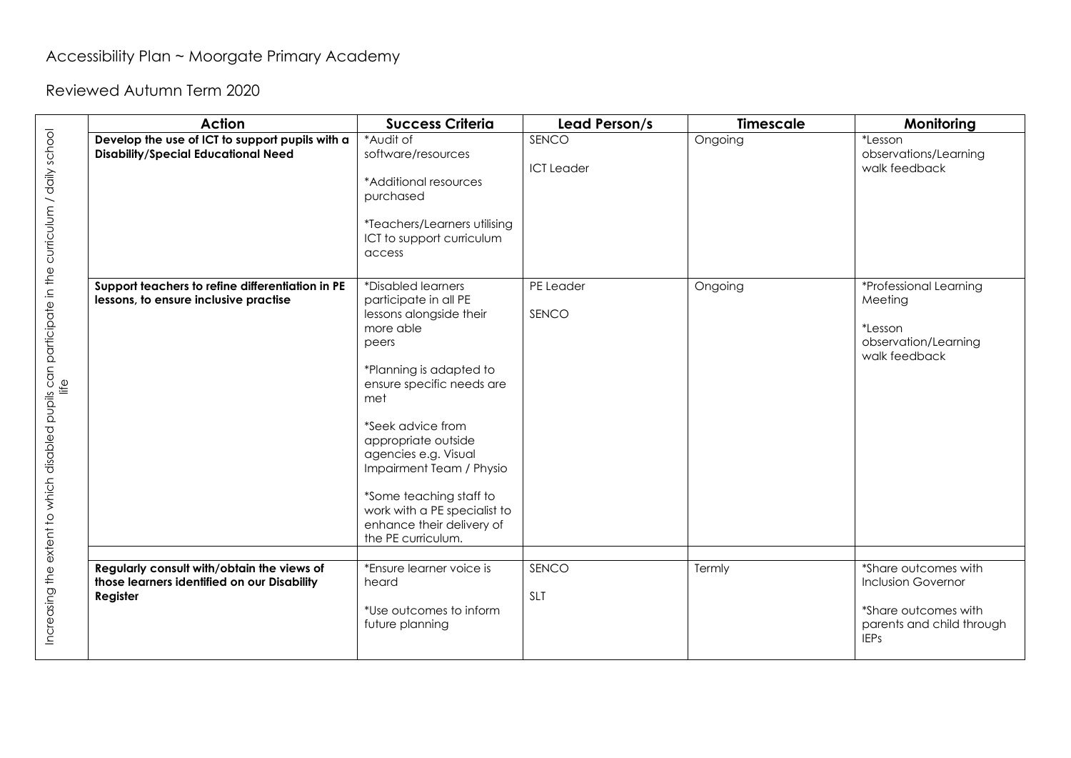## Accessibility Plan ~ Moorgate Primary Academy

Reviewed Autumn Term 2020

|                                                                                                         | <b>Action</b>                                                                                         | <b>Success Criteria</b>                                                                                                                                                                                                                                                                                                                                                   | Lead Person/s              | <b>Timescale</b> | Monitoring                                                                                                            |
|---------------------------------------------------------------------------------------------------------|-------------------------------------------------------------------------------------------------------|---------------------------------------------------------------------------------------------------------------------------------------------------------------------------------------------------------------------------------------------------------------------------------------------------------------------------------------------------------------------------|----------------------------|------------------|-----------------------------------------------------------------------------------------------------------------------|
|                                                                                                         | Develop the use of ICT to support pupils with a<br><b>Disability/Special Educational Need</b>         | *Audit of<br>software/resources<br>*Additional resources<br>purchased<br>*Teachers/Learners utilising<br>ICT to support curriculum<br>access                                                                                                                                                                                                                              | SENCO<br><b>ICT</b> Leader | Ongoing          | *Lesson<br>observations/Learning<br>walk feedback                                                                     |
| Increasing the extent to which disabled pupils can participate in the curriculum / daily school<br>life | Support teachers to refine differentiation in PE<br>lessons, to ensure inclusive practise             | *Disabled learners<br>participate in all PE<br>lessons alongside their<br>more able<br>peers<br>*Planning is adapted to<br>ensure specific needs are<br>met<br>*Seek advice from<br>appropriate outside<br>agencies e.g. Visual<br>Impairment Team / Physio<br>*Some teaching staff to<br>work with a PE specialist to<br>enhance their delivery of<br>the PE curriculum. | PE Leader<br>SENCO         | Ongoing          | *Professional Learning<br>Meeting<br>*Lesson<br>observation/Learning<br>walk feedback                                 |
|                                                                                                         | Regularly consult with/obtain the views of<br>those learners identified on our Disability<br>Register | *Ensure learner voice is<br>heard<br>*Use outcomes to inform<br>future planning                                                                                                                                                                                                                                                                                           | SENCO<br>SLT               | Termly           | *Share outcomes with<br><b>Inclusion Governor</b><br>*Share outcomes with<br>parents and child through<br><b>IEPs</b> |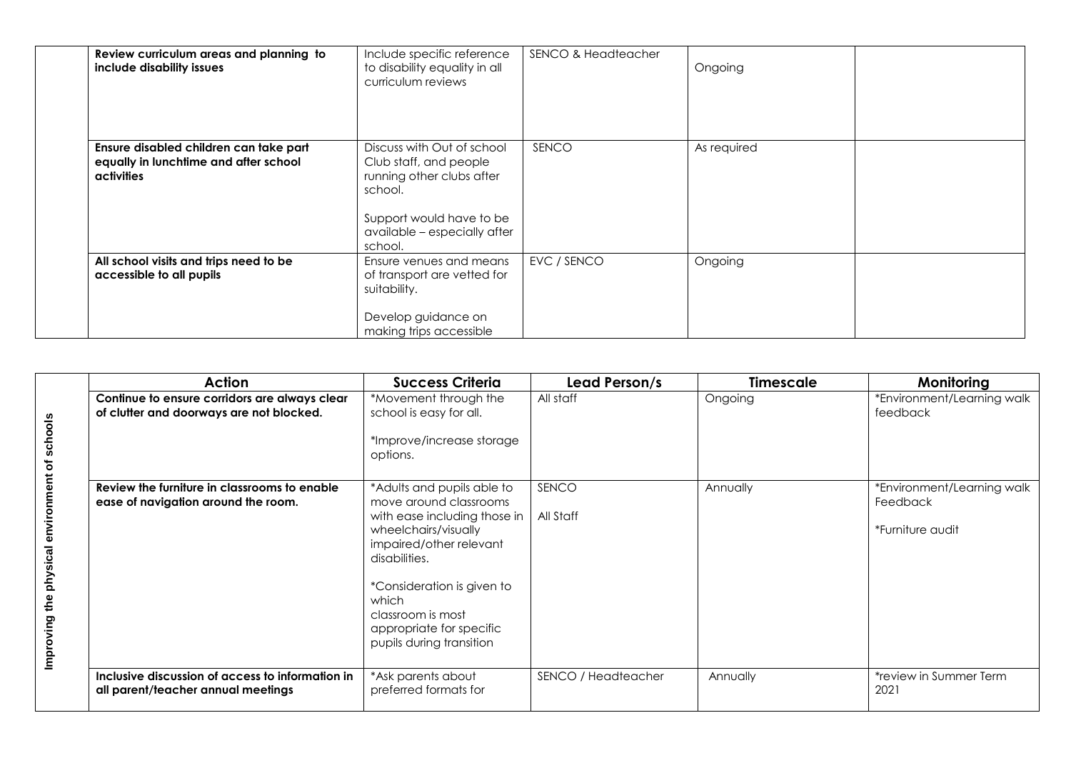| Review curriculum areas and planning to<br>include disability issues                          | Include specific reference<br>to disability equality in all<br>curriculum reviews                                                                                   | <b>SENCO &amp; Headteacher</b> | Ongoing     |  |
|-----------------------------------------------------------------------------------------------|---------------------------------------------------------------------------------------------------------------------------------------------------------------------|--------------------------------|-------------|--|
| Ensure disabled children can take part<br>equally in lunchtime and after school<br>activities | Discuss with Out of school<br>Club staff, and people<br>running other clubs after<br>school.<br>Support would have to be<br>available - especially after<br>school. | SENCO                          | As required |  |
| All school visits and trips need to be<br>accessible to all pupils                            | Ensure venues and means<br>of transport are vetted for<br>suitability.<br>Develop guidance on<br>making trips accessible                                            | EVC / SENCO                    | Ongoing     |  |

|                                               | Action                                                                                    | <b>Success Criteria</b>                                                                                                                                                                                                                                                      | Lead Person/s       | <b>Timescale</b> | Monitoring                                                 |
|-----------------------------------------------|-------------------------------------------------------------------------------------------|------------------------------------------------------------------------------------------------------------------------------------------------------------------------------------------------------------------------------------------------------------------------------|---------------------|------------------|------------------------------------------------------------|
|                                               | Continue to ensure corridors are always clear<br>of clutter and doorways are not blocked. | *Movement through the<br>school is easy for all.<br>*Improve/increase storage<br>options.                                                                                                                                                                                    | All staff           | Ongoing          | *Environment/Learning walk<br>feedback                     |
| Improving the physical environment of schools | Review the furniture in classrooms to enable<br>ease of navigation around the room.       | *Adults and pupils able to<br>move around classrooms<br>with ease including those in<br>wheelchairs/visually<br>impaired/other relevant<br>disabilities.<br>*Consideration is given to<br>which<br>classroom is most<br>appropriate for specific<br>pupils during transition | SENCO<br>All Staff  | Annually         | *Environment/Learning walk<br>Feedback<br>*Furniture audit |
|                                               | Inclusive discussion of access to information in<br>all parent/teacher annual meetings    | *Ask parents about<br>preferred formats for                                                                                                                                                                                                                                  | SENCO / Headteacher | Annually         | *review in Summer Term<br>2021                             |